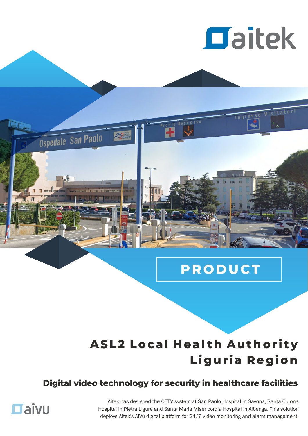

Ingresso

Visitatori

## **PR O D UCT**

## **ASL2 Local Health Authority Li g ur ia Re g ion**

### **Digital video technology for security in healthcare facilities**



Ospedale San Paolo

Aitek has designed the CCTV system at San Paolo Hospital in Savona, Santa Corona Hospital in Pietra Ligure and Santa Maria Misericordia Hospital in Albenga. This solution deploys Aitek's AiVu digital platform for 24/7 video monitoring and alarm management.